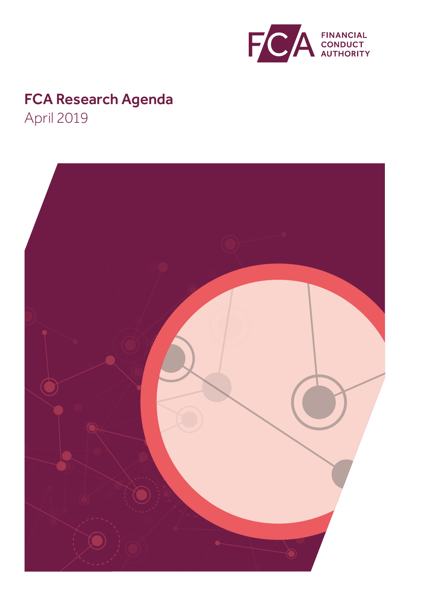

# FCA Research Agenda April 2019

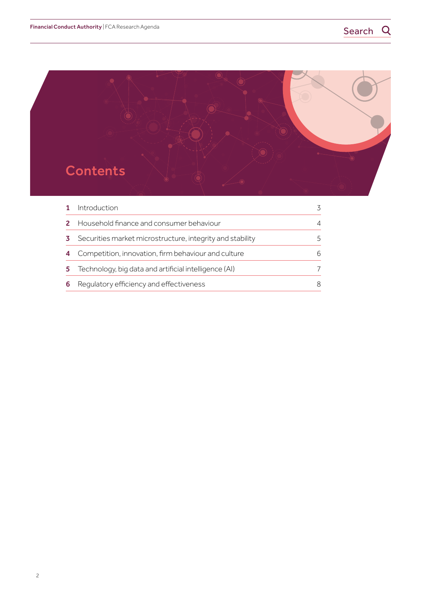

|    | Introduction                                              |   |
|----|-----------------------------------------------------------|---|
|    | Household finance and consumer behaviour                  |   |
|    | Securities market microstructure, integrity and stability |   |
|    | Competition, innovation, firm behaviour and culture       | 6 |
| 5. | Technology, big data and artificial intelligence (AI)     |   |
| 6  | Regulatory efficiency and effectiveness                   | 8 |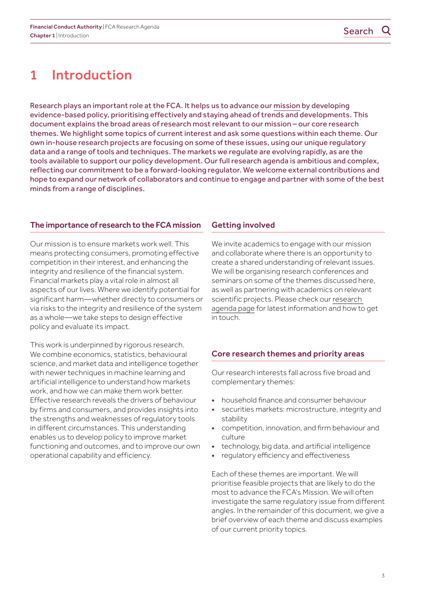## <span id="page-2-0"></span>1 Introduction

Research plays an important role at the FCA. It helps us to advance our [mission](https://www.fca.org.uk/publication/corporate/our-mission-2017.pdf) by developing evidence-based policy, prioritising effectively and staying ahead of trends and developments. This document explains the broad areas of research most relevant to our mission – our core research themes. We highlight some topics of current interest and ask some questions within each theme. Our own in-house research projects are focusing on some of these issues, using our unique regulatory data and a range of tools and techniques. The markets we regulate are evolving rapidly, as are the tools available to support our policy development. Our full research agenda is ambitious and complex, reflecting our commitment to be a forward-looking regulator. We welcome external contributions and hope to expand our network of collaborators and continue to engage and partner with some of the best minds from a range of disciplines.

### The importance of research to the FCA mission

Our mission is to ensure markets work well. This means protecting consumers, promoting effective competition in their interest, and enhancing the integrity and resilience of the financial system. Financial markets play a vital role in almost all aspects of our lives. Where we identify potential for significant harm—whether directly to consumers or via risks to the integrity and resilience of the system as a whole—we take steps to design effective policy and evaluate its impact.

This work is underpinned by rigorous research. We combine economics, statistics, behavioural science, and market data and intelligence together with newer techniques in machine learning and artificial intelligence to understand how markets work, and how we can make them work better. Effective research reveals the drivers of behaviour by firms and consumers, and provides insights into the strengths and weaknesses of regulatory tools in different circumstances. This understanding enables us to develop policy to improve market functioning and outcomes, and to improve our own operational capability and efficiency.

### Getting involved

We invite academics to engage with our mission and collaborate where there is an opportunity to create a shared understanding of relevant issues. We will be organising research conferences and seminars on some of the themes discussed here, as well as partnering with academics on relevant scientific projects. Please check our [research](https://www.fca.org.uk/publications/corporate-documents/fca-research-agenda)  [agenda page](https://www.fca.org.uk/publications/corporate-documents/fca-research-agenda) for latest information and how to get in touch.

## Core research themes and priority areas

Our research interests fall across five broad and complementary themes:

- household finance and consumer behaviour
- securities markets: microstructure, integrity and stability
- competition, innovation, and firm behaviour and culture
- technology, big data, and artificial intelligence
- regulatory efficiency and effectiveness

Each of these themes are important. We will prioritise feasible projects that are likely to do the most to advance the FCA's Mission. We will often investigate the same regulatory issue from different angles. In the remainder of this document, we give a brief overview of each theme and discuss examples of our current priority topics.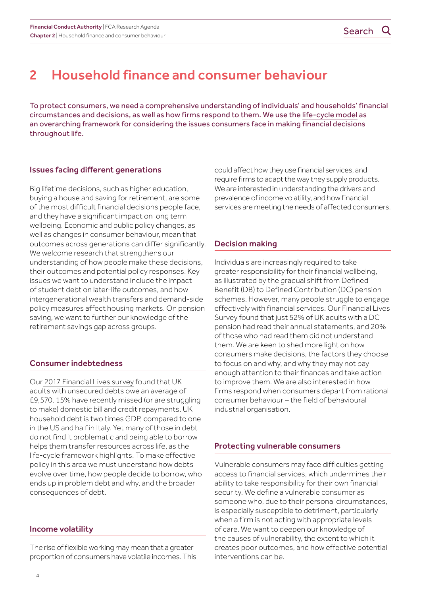## <span id="page-3-0"></span>2 Household finance and consumer behaviour

To protect consumers, we need a comprehensive understanding of individuals' and households' financial circumstances and decisions, as well as how firms respond to them. We use the [life-cycle model](https://www.aeaweb.org/articles?id=10.1257/jep.15.3.3) as an overarching framework for considering the issues consumers face in making financial decisions throughout life.

#### Issues facing different generations

Big lifetime decisions, such as higher education, buying a house and saving for retirement, are some of the most difficult financial decisions people face, and they have a significant impact on long term wellbeing. Economic and public policy changes, as well as changes in consumer behaviour, mean that outcomes across generations can differ significantly. We welcome research that strengthens our understanding of how people make these decisions, their outcomes and potential policy responses. Key issues we want to understand include the impact of student debt on later-life outcomes, and how intergenerational wealth transfers and demand-side policy measures affect housing markets. On pension saving, we want to further our knowledge of the retirement savings gap across groups.

#### Consumer indebtedness

Our [2017 Financial Lives survey](https://www.fca.org.uk/publication/research/financial-lives-consumers-across-uk.pdf) found that UK adults with unsecured debts owe an average of £9,570. 15% have recently missed (or are struggling to make) domestic bill and credit repayments. UK household debt is two times GDP, compared to one in the US and half in Italy. Yet many of those in debt do not find it problematic and being able to borrow helps them transfer resources across life, as the life-cycle framework highlights. To make effective policy in this area we must understand how debts evolve over time, how people decide to borrow, who ends up in problem debt and why, and the broader consequences of debt.

#### Income volatility

The rise of flexible working may mean that a greater proportion of consumers have volatile incomes. This could affect how they use financial services, and require firms to adapt the way they supply products. We are interested in understanding the drivers and prevalence of income volatility, and how financial services are meeting the needs of affected consumers.

### Decision making

Individuals are increasingly required to take greater responsibility for their financial wellbeing, as illustrated by the gradual shift from Defined Benefit (DB) to Defined Contribution (DC) pension schemes. However, many people struggle to engage effectively with financial services. Our Financial Lives Survey found that just 52% of UK adults with a DC pension had read their annual statements, and 20% of those who had read them did not understand them. We are keen to shed more light on how consumers make decisions, the factors they choose to focus on and why, and why they may not pay enough attention to their finances and take action to improve them. We are also interested in how firms respond when consumers depart from rational consumer behaviour – the field of behavioural industrial organisation.

#### Protecting vulnerable consumers

Vulnerable consumers may face difficulties getting access to financial services, which undermines their ability to take responsibility for their own financial security. We define a vulnerable consumer as someone who, due to their personal circumstances, is especially susceptible to detriment, particularly when a firm is not acting with appropriate levels of care. We want to deepen our knowledge of the causes of vulnerability, the extent to which it creates poor outcomes, and how effective potential interventions can be.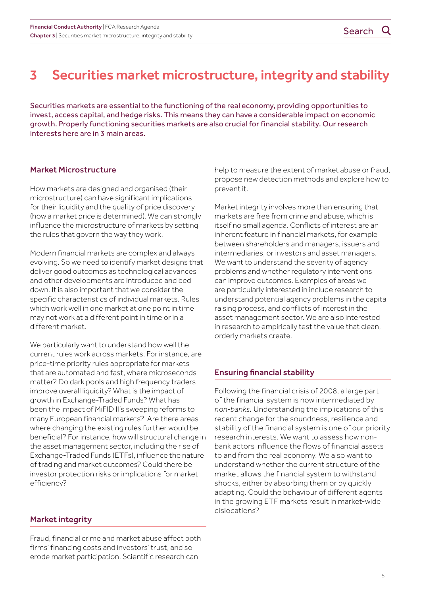## <span id="page-4-0"></span>3 Securities market microstructure, integrity and stability

Securities markets are essential to the functioning of the real economy, providing opportunities to invest, access capital, and hedge risks. This means they can have a considerable impact on economic growth. Properly functioning securities markets are also crucial for financial stability. Our research interests here are in 3 main areas.

### Market Microstructure

How markets are designed and organised (their microstructure) can have significant implications for their liquidity and the quality of price discovery (how a market price is determined). We can strongly influence the microstructure of markets by setting the rules that govern the way they work.

Modern financial markets are complex and always evolving. So we need to identify market designs that deliver good outcomes as technological advances and other developments are introduced and bed down. It is also important that we consider the specific characteristics of individual markets. Rules which work well in one market at one point in time may not work at a different point in time or in a different market.

We particularly want to understand how well the current rules work across markets. For instance, are price-time priority rules appropriate for markets that are automated and fast, where microseconds matter? Do dark pools and high frequency traders improve overall liquidity? What is the impact of growth in Exchange-Traded Funds? What has been the impact of MiFID II's sweeping reforms to many European financial markets? Are there areas where changing the existing rules further would be beneficial? For instance, how will structural change in the asset management sector, including the rise of Exchange-Traded Funds (ETFs), influence the nature of trading and market outcomes? Could there be investor protection risks or implications for market efficiency?

### Market integrity

Fraud, financial crime and market abuse affect both firms' financing costs and investors' trust, and so erode market participation. Scientific research can

help to measure the extent of market abuse or fraud, propose new detection methods and explore how to prevent it.

Market integrity involves more than ensuring that markets are free from crime and abuse, which is itself no small agenda. Conflicts of interest are an inherent feature in financial markets, for example between shareholders and managers, issuers and intermediaries, or investors and asset managers. We want to understand the severity of agency problems and whether regulatory interventions can improve outcomes. Examples of areas we are particularly interested in include research to understand potential agency problems in the capital raising process, and conflicts of interest in the asset management sector. We are also interested in research to empirically test the value that clean, orderly markets create.

### Ensuring financial stability

Following the financial crisis of 2008, a large part of the financial system is now intermediated by *non-banks.* Understanding the implications of this recent change for the soundness, resilience and stability of the financial system is one of our priority research interests. We want to assess how nonbank actors influence the flows of financial assets to and from the real economy. We also want to understand whether the current structure of the market allows the financial system to withstand shocks, either by absorbing them or by quickly adapting. Could the behaviour of different agents in the growing ETF markets result in market-wide dislocations?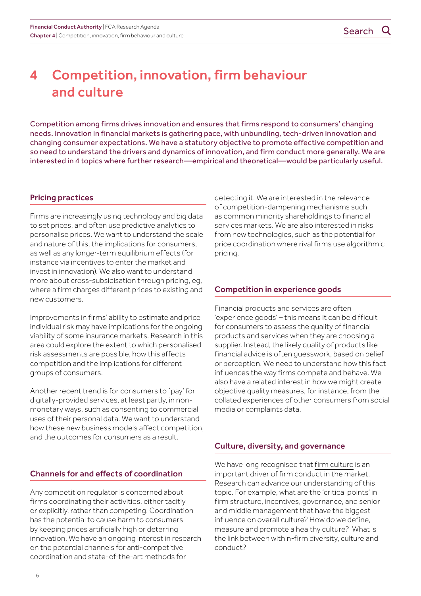## <span id="page-5-0"></span>4 Competition, innovation, firm behaviour and culture

Competition among firms drives innovation and ensures that firms respond to consumers' changing needs. Innovation in financial markets is gathering pace, with unbundling, tech-driven innovation and changing consumer expectations. We have a statutory objective to promote effective competition and so need to understand the drivers and dynamics of innovation, and firm conduct more generally. We are interested in 4 topics where further research—empirical and theoretical—would be particularly useful.

#### Pricing practices

Firms are increasingly using technology and big data to set prices, and often use predictive analytics to personalise prices. We want to understand the scale and nature of this, the implications for consumers, as well as any longer-term equilibrium effects (for instance via incentives to enter the market and invest in innovation). We also want to understand more about cross-subsidisation through pricing, eg, where a firm charges different prices to existing and new customers.

Improvements in firms' ability to estimate and price individual risk may have implications for the ongoing viability of some insurance markets. Research in this area could explore the extent to which personalised risk assessments are possible, how this affects competition and the implications for different groups of consumers.

Another recent trend is for consumers to `pay' for digitally-provided services, at least partly, in nonmonetary ways, such as consenting to commercial uses of their personal data. We want to understand how these new business models affect competition, and the outcomes for consumers as a result.

### Channels for and effects of coordination

Any competition regulator is concerned about firms coordinating their activities, either tacitly or explicitly, rather than competing. Coordination has the potential to cause harm to consumers by keeping prices artificially high or deterring innovation. We have an ongoing interest in research on the potential channels for anti-competitive coordination and state-of-the-art methods for

detecting it. We are interested in the relevance of competition-dampening mechanisms such as common minority shareholdings to financial services markets. We are also interested in risks from new technologies, such as the potential for price coordination where rival firms use algorithmic pricing.

### Competition in experience goods

Financial products and services are often 'experience goods' – this means it can be difficult for consumers to assess the quality of financial products and services when they are choosing a supplier. Instead, the likely quality of products like financial advice is often guesswork, based on belief or perception. We need to understand how this fact influences the way firms compete and behave. We also have a related interest in how we might create objective quality measures, for instance, from the collated experiences of other consumers from social media or complaints data.

### Culture, diversity, and governance

We have long recognised that [firm culture](https://www.fca.org.uk/publication/discussion/dp18-02.pdf) is an important driver of firm conduct in the market. Research can advance our understanding of this topic. For example, what are the 'critical points' in firm structure, incentives, governance, and senior and middle management that have the biggest influence on overall culture? How do we define, measure and promote a healthy culture? What is the link between within-firm diversity, culture and conduct?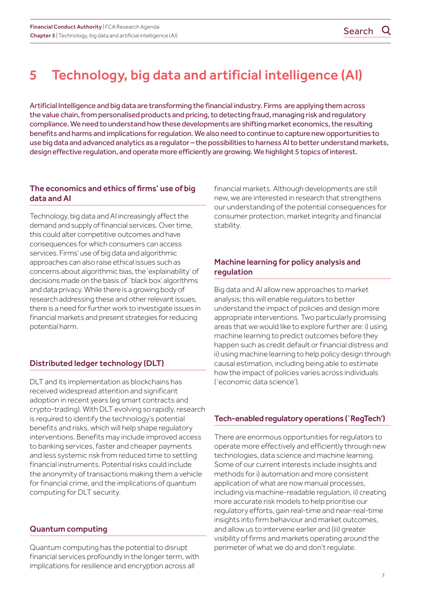<span id="page-6-0"></span>Artificial Intelligence and big data are transforming the financial industry. Firms are applying them across the value chain, from personalised products and pricing, to detecting fraud, managing risk and regulatory compliance. We need to understand how these developments are shifting market economics, the resulting benefits and harms and implications for regulation. We also need to continue to capture new opportunities to use big data and advanced analytics as a regulator – the possibilities to harness AI to better understand markets, design effective regulation, and operate more efficiently are growing. We highlight 5 topics of interest.

### The economics and ethics of firms' use of big data and AI

Technology, big data and AI increasingly affect the demand and supply of financial services. Over time, this could alter competitive outcomes and have consequences for which consumers can access services. Firms' use of big data and algorithmic approaches can also raise ethical issues such as concerns about algorithmic bias, the 'explainability' of decisions made on the basis of `black box' algorithms and data privacy. While there is a growing body of research addressing these and other relevant issues, there is a need for further work to investigate issues in financial markets and present strategies for reducing potential harm.

## Distributed ledger technology (DLT)

DLT and its implementation as blockchains has received widespread attention and significant adoption in recent years (eg smart contracts and crypto-trading). With DLT evolving so rapidly, research is required to identify the technology's potential benefits and risks, which will help shape regulatory interventions. Benefits may include improved access to banking services, faster and cheaper payments and less systemic risk from reduced time to settling financial instruments. Potential risks could include the anonymity of transactions making them a vehicle for financial crime, and the implications of quantum computing for DLT security.

## Quantum computing

Quantum computing has the potential to disrupt financial services profoundly in the longer term, with implications for resilience and encryption across all

financial markets. Although developments are still new, we are interested in research that strengthens our understanding of the potential consequences for consumer protection, market integrity and financial stability.

### Machine learning for policy analysis and regulation

Big data and AI allow new approaches to market analysis; this will enable regulators to better understand the impact of policies and design more appropriate interventions. Two particularly promising areas that we would like to explore further are: i) using machine learning to predict outcomes before they happen such as credit default or financial distress and ii) using machine learning to help policy design through causal estimation, including being able to estimate how the impact of policies varies across individuals (`economic data science').

## Tech-enabled regulatory operations (`RegTech')

There are enormous opportunities for regulators to operate more effectively and efficiently through new technologies, data science and machine learning. Some of our current interests include insights and methods for i) automation and more consistent application of what are now manual processes, including via machine-readable regulation, ii) creating more accurate risk models to help prioritise our regulatory efforts, gain real-time and near-real-time insights into firm behaviour and market outcomes, and allow us to intervene earlier and (iii) greater visibility of firms and markets operating around the perimeter of what we do and don't regulate.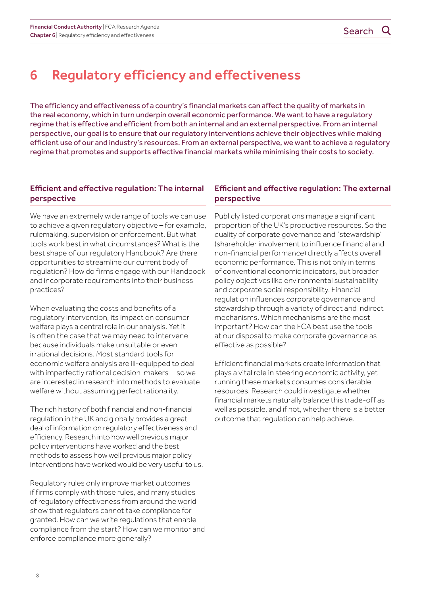## <span id="page-7-0"></span>6 Regulatory efficiency and effectiveness

The efficiency and effectiveness of a country's financial markets can affect the quality of markets in the real economy, which in turn underpin overall economic performance. We want to have a regulatory regime that is effective and efficient from both an internal and an external perspective. From an internal perspective, our goal is to ensure that our regulatory interventions achieve their objectives while making efficient use of our and industry's resources. From an external perspective, we want to achieve a regulatory regime that promotes and supports effective financial markets while minimising their costs to society.

### Efficient and effective regulation: The internal perspective

We have an extremely wide range of tools we can use to achieve a given regulatory objective – for example, rulemaking, supervision or enforcement. But what tools work best in what circumstances? What is the best shape of our regulatory Handbook? Are there opportunities to streamline our current body of regulation? How do firms engage with our Handbook and incorporate requirements into their business practices?

When evaluating the costs and benefits of a regulatory intervention, its impact on consumer welfare plays a central role in our analysis. Yet it is often the case that we may need to intervene because individuals make unsuitable or even irrational decisions. Most standard tools for economic welfare analysis are ill-equipped to deal with imperfectly rational decision-makers—so we are interested in research into methods to evaluate welfare without assuming perfect rationality.

The rich history of both financial and non-financial regulation in the UK and globally provides a great deal of information on regulatory effectiveness and efficiency. Research into how well previous major policy interventions have worked and the best methods to assess how well previous major policy interventions have worked would be very useful to us.

Regulatory rules only improve market outcomes if firms comply with those rules, and many studies of regulatory effectiveness from around the world show that regulators cannot take compliance for granted. How can we write regulations that enable compliance from the start? How can we monitor and enforce compliance more generally?

### Efficient and effective regulation: The external perspective

Publicly listed corporations manage a significant proportion of the UK's productive resources. So the quality of corporate governance and `stewardship' (shareholder involvement to influence financial and non-financial performance) directly affects overall economic performance. This is not only in terms of conventional economic indicators, but broader policy objectives like environmental sustainability and corporate social responsibility. Financial regulation influences corporate governance and stewardship through a variety of direct and indirect mechanisms. Which mechanisms are the most important? How can the FCA best use the tools at our disposal to make corporate governance as effective as possible?

Efficient financial markets create information that plays a vital role in steering economic activity, yet running these markets consumes considerable resources. Research could investigate whether financial markets naturally balance this trade-off as well as possible, and if not, whether there is a better outcome that regulation can help achieve.